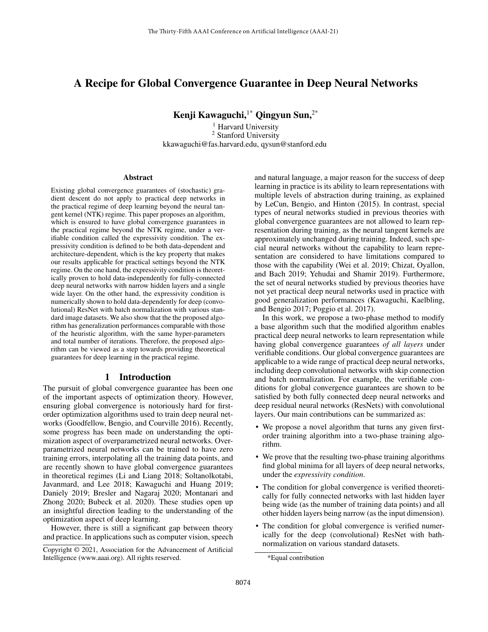# A Recipe for Global Convergence Guarantee in Deep Neural Networks

Kenji Kawaguchi,<sup>1\*</sup> Qingyun Sun,<sup>2\*</sup>

<sup>1</sup> Harvard University <sup>2</sup> Stanford University kkawaguchi@fas.harvard.edu, qysun@stanford.edu

#### Abstract

Existing global convergence guarantees of (stochastic) gradient descent do not apply to practical deep networks in the practical regime of deep learning beyond the neural tangent kernel (NTK) regime. This paper proposes an algorithm, which is ensured to have global convergence guarantees in the practical regime beyond the NTK regime, under a verifiable condition called the expressivity condition. The expressivity condition is defined to be both data-dependent and architecture-dependent, which is the key property that makes our results applicable for practical settings beyond the NTK regime. On the one hand, the expressivity condition is theoretically proven to hold data-independently for fully-connected deep neural networks with narrow hidden layers and a single wide layer. On the other hand, the expressivity condition is numerically shown to hold data-dependently for deep (convolutional) ResNet with batch normalization with various standard image datasets. We also show that the the proposed algorithm has generalization performances comparable with those of the heuristic algorithm, with the same hyper-parameters and total number of iterations. Therefore, the proposed algorithm can be viewed as a step towards providing theoretical guarantees for deep learning in the practical regime.

### 1 Introduction

The pursuit of global convergence guarantee has been one of the important aspects of optimization theory. However, ensuring global convergence is notoriously hard for firstorder optimization algorithms used to train deep neural networks (Goodfellow, Bengio, and Courville 2016). Recently, some progress has been made on understanding the optimization aspect of overparametrized neural networks. Overparametrized neural networks can be trained to have zero training errors, interpolating all the training data points, and are recently shown to have global convergence guarantees in theoretical regimes (Li and Liang 2018; Soltanolkotabi, Javanmard, and Lee 2018; Kawaguchi and Huang 2019; Daniely 2019; Bresler and Nagaraj 2020; Montanari and Zhong 2020; Bubeck et al. 2020). These studies open up an insightful direction leading to the understanding of the optimization aspect of deep learning.

However, there is still a significant gap between theory and practice. In applications such as computer vision, speech

and natural language, a major reason for the success of deep learning in practice is its ability to learn representations with multiple levels of abstraction during training, as explained by LeCun, Bengio, and Hinton (2015). In contrast, special types of neural networks studied in previous theories with global convergence guarantees are not allowed to learn representation during training, as the neural tangent kernels are approximately unchanged during training. Indeed, such special neural networks without the capability to learn representation are considered to have limitations compared to those with the capability (Wei et al. 2019; Chizat, Oyallon, and Bach 2019; Yehudai and Shamir 2019). Furthermore, the set of neural networks studied by previous theories have not yet practical deep neural networks used in practice with good generalization performances (Kawaguchi, Kaelbling, and Bengio 2017; Poggio et al. 2017).

In this work, we propose a two-phase method to modify a base algorithm such that the modified algorithm enables practical deep neural networks to learn representation while having global convergence guarantees *of all layers* under verifiable conditions. Our global convergence guarantees are applicable to a wide range of practical deep neural networks, including deep convolutional networks with skip connection and batch normalization. For example, the verifiable conditions for global convergence guarantees are shown to be satisfied by both fully connected deep neural networks and deep residual neural networks (ResNets) with convolutional layers. Our main contributions can be summarized as:

- We propose a novel algorithm that turns any given firstorder training algorithm into a two-phase training algorithm.
- We prove that the resulting two-phase training algorithms find global minima for all layers of deep neural networks, under the *expressivity condition*.
- The condition for global convergence is verified theoretically for fully connected networks with last hidden layer being wide (as the number of training data points) and all other hidden layers being narrow (as the input dimension).
- The condition for global convergence is verified numerically for the deep (convolutional) ResNet with bathnormalization on various standard datasets.

Copyright © 2021, Association for the Advancement of Artificial Intelligence (www.aaai.org). All rights reserved.

<sup>\*</sup>Equal contribution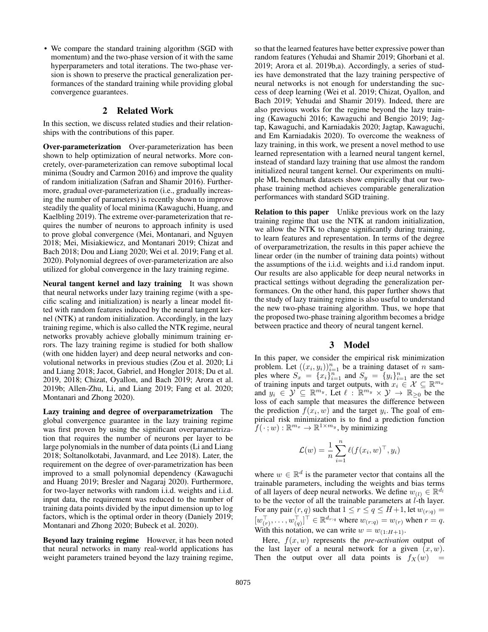• We compare the standard training algorithm (SGD with momentum) and the two-phase version of it with the same hyperparameters and total iterations. The two-phase version is shown to preserve the practical generalization performances of the standard training while providing global convergence guarantees.

# 2 Related Work

In this section, we discuss related studies and their relationships with the contributions of this paper.

Over-parameterization Over-parameterization has been shown to help optimization of neural networks. More concretely, over-parameterization can remove suboptimal local minima (Soudry and Carmon 2016) and improve the quality of random initialization (Safran and Shamir 2016). Furthermore, gradual over-parameterization (i.e., gradually increasing the number of parameters) is recently shown to improve steadily the quality of local minima (Kawaguchi, Huang, and Kaelbling 2019). The extreme over-parameterization that requires the number of neurons to approach infinity is used to prove global convergence (Mei, Montanari, and Nguyen 2018; Mei, Misiakiewicz, and Montanari 2019; Chizat and Bach 2018; Dou and Liang 2020; Wei et al. 2019; Fang et al. 2020). Polynomial degrees of over-parameterization are also utilized for global convergence in the lazy training regime.

Neural tangent kernel and lazy training It was shown that neural networks under lazy training regime (with a specific scaling and initialization) is nearly a linear model fitted with random features induced by the neural tangent kernel (NTK) at random initialization. Accordingly, in the lazy training regime, which is also called the NTK regime, neural networks provably achieve globally minimum training errors. The lazy training regime is studied for both shallow (with one hidden layer) and deep neural networks and convolutional networks in previous studies (Zou et al. 2020; Li and Liang 2018; Jacot, Gabriel, and Hongler 2018; Du et al. 2019, 2018; Chizat, Oyallon, and Bach 2019; Arora et al. 2019b; Allen-Zhu, Li, and Liang 2019; Fang et al. 2020; Montanari and Zhong 2020).

Lazy training and degree of overparametrization The global convergence guarantee in the lazy training regime was first proven by using the significant overparametrization that requires the number of neurons per layer to be large polynomials in the number of data points (Li and Liang 2018; Soltanolkotabi, Javanmard, and Lee 2018). Later, the requirement on the degree of over-parametrization has been improved to a small polynomial dependency (Kawaguchi and Huang 2019; Bresler and Nagaraj 2020). Furthermore, for two-layer networks with random i.i.d. weights and i.i.d. input data, the requirement was reduced to the number of training data points divided by the input dimension up to log factors, which is the optimal order in theory (Daniely 2019; Montanari and Zhong 2020; Bubeck et al. 2020).

Beyond lazy training regime However, it has been noted that neural networks in many real-world applications has weight parameters trained beyond the lazy training regime,

so that the learned features have better expressive power than random features (Yehudai and Shamir 2019; Ghorbani et al. 2019; Arora et al. 2019b,a). Accordingly, a series of studies have demonstrated that the lazy training perspective of neural networks is not enough for understanding the success of deep learning (Wei et al. 2019; Chizat, Oyallon, and Bach 2019; Yehudai and Shamir 2019). Indeed, there are also previous works for the regime beyond the lazy training (Kawaguchi 2016; Kawaguchi and Bengio 2019; Jagtap, Kawaguchi, and Karniadakis 2020; Jagtap, Kawaguchi, and Em Karniadakis 2020). To overcome the weakness of lazy training, in this work, we present a novel method to use learned representation with a learned neural tangent kernel, instead of standard lazy training that use almost the random initialized neural tangent kernel. Our experiments on multiple ML benchmark datasets show empirically that our twophase training method achieves comparable generalization performances with standard SGD training.

**Relation to this paper** Unlike previous work on the lazy training regime that use the NTK at random initialization, we allow the NTK to change significantly during training, to learn features and representation. In terms of the degree of overparametrization, the results in this paper achieve the linear order (in the number of training data points) without the assumptions of the i.i.d. weights and i.i.d random input. Our results are also applicable for deep neural networks in practical settings without degrading the generalization performances. On the other hand, this paper further shows that the study of lazy training regime is also useful to understand the new two-phase training algorithm. Thus, we hope that the proposed two-phase training algorithm becomes a bridge between practice and theory of neural tangent kernel.

## 3 Model

In this paper, we consider the empirical risk minimization problem. Let  $((x_i, y_i))_{i=1}^n$  be a training dataset of n samples where  $S_x = \{x_i\}_{i=1}^n$  and  $S_y = \{y_i\}_{i=1}^n$  are the set of training inputs and target outputs, with  $x_i \in \mathcal{X} \subseteq \mathbb{R}^{m_x}$ and  $y_i \in \mathcal{Y} \subseteq \mathbb{R}^{m_y}$ . Let  $\ell : \mathbb{R}^{m_y} \times \mathcal{Y} \to \mathbb{R}_{\geq 0}$  be the loss of each sample that measures the difference between the prediction  $f(x_i, w)$  and the target  $y_i$ . The goal of empirical risk minimization is to find a prediction function  $f(\,\cdot\,;w): \mathbb{R}^{m_x} \rightarrow \mathbb{R}^{1 \times m_y}$ , by minimizing

$$
\mathcal{L}(w) = \frac{1}{n} \sum_{i=1}^{n} \ell(f(x_i, w)^\top, y_i)
$$

where  $w \in \mathbb{R}^d$  is the parameter vector that contains all the trainable parameters, including the weights and bias terms of all layers of deep neural networks. We define  $w_{(l)} \in \mathbb{R}^{d_l}$ to be the vector of all the trainable parameters at  $l$ -th layer. For any pair  $(r, q)$  such that  $1 \le r \le q \le H+1$ , let  $w_{(r:q)} =$  $[w_{(r)}^{\top}, \ldots, w_{(q)}^{\top}]^{\top} \in \mathbb{R}^{d_{r:q}}$  where  $w_{(r:q)} = w_{(r)}$  when  $r = q$ . With this notation, we can write  $w = w_{(1:H+1)}$ .

Here,  $f(x, w)$  represents the *pre-activation* output of the last layer of a neural network for a given  $(x, w)$ . Then the output over all data points is  $f_X(w)$  =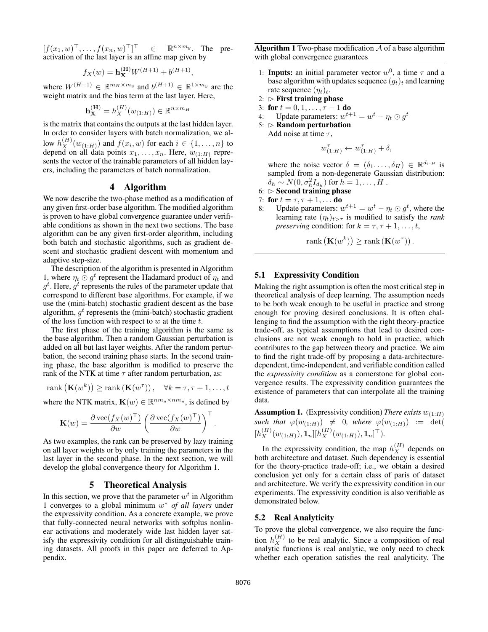$[f(x_1, w)^\top, \dots, f(x_n, w)^\top]^\top \in \mathbb{R}^{n \times m_y}$ . The preactivation of the last layer is an affine map given by

$$
f_X(w) = \mathbf{h}_X^{(\mathbf{H})} W^{(H+1)} + b^{(H+1)},
$$

where  $W^{(H+1)} \in \mathbb{R}^{m_H \times m_y}$  and  $b^{(H+1)} \in \mathbb{R}^{1 \times m_y}$  are the weight matrix and the bias term at the last layer. Here,

$$
\mathbf{h}_{\mathbf{X}}^{(\mathbf{H})} = h_X^{(H)}(w_{(1:H)}) \in \mathbb{R}^{n \times m_H}
$$

is the matrix that contains the outputs at the last hidden layer. In order to consider layers with batch normalization, we allow  $h_X^{(H)}(w_{(1:H)})$  and  $f(x_i, w)$  for each  $i \in \{1, \ldots, n\}$  to depend on all data points  $x_1, \ldots, x_n$ . Here,  $w_{(1:H)}$  represents the vector of the trainable parameters of all hidden layers, including the parameters of batch normalization.

### 4 Algorithm

We now describe the two-phase method as a modification of any given first-order base algorithm. The modified algorithm is proven to have global convergence guarantee under verifiable conditions as shown in the next two sections. The base algorithm can be any given first-order algorithm, including both batch and stochastic algorithms, such as gradient descent and stochastic gradient descent with momentum and adaptive step-size.

The description of the algorithm is presented in Algorithm 1, where  $\eta_t \odot g^t$  represent the Hadamard product of  $\eta_t$  and  $g^t$ . Here,  $g^t$  represents the rules of the parameter update that correspond to different base algorithms. For example, if we use the (mini-batch) stochastic gradient descent as the base algorithm,  $g^t$  represents the (mini-batch) stochastic gradient of the loss function with respect to  $w$  at the time  $t$ .

The first phase of the training algorithm is the same as the base algorithm. Then a random Gaussian perturbation is added on all but last layer weights. After the random perturbation, the second training phase starts. In the second training phase, the base algorithm is modified to preserve the rank of the NTK at time  $\tau$  after random perturbation, as:

$$
rank\left(\mathbf{K}(w^k)\right) \geq rank\left(\mathbf{K}(w^{\tau})\right), \quad \forall k = \tau, \tau + 1, \ldots, t
$$

where the NTK matrix,  $\mathbf{K}(w) \in \mathbb{R}^{nm_y \times nm_y}$ , is defined by

$$
\mathbf{K}(w) = \frac{\partial \operatorname{vec}(f_X(w)^\top)}{\partial w} \left( \frac{\partial \operatorname{vec}(f_X(w)^\top)}{\partial w} \right)^\top.
$$

As two examples, the rank can be preserved by lazy training on all layer weights or by only training the parameters in the last layer in the second phase. In the next section, we will develop the global convergence theory for Algorithm 1.

### 5 Theoretical Analysis

In this section, we prove that the parameter  $w<sup>t</sup>$  in Algorithm 1 converges to a global minimum w <sup>∗</sup> *of all layers* under the expressivity condition. As a concrete example, we prove that fully-connected neural networks with softplus nonlinear activations and moderately wide last hidden layer satisfy the expressivity condition for all distinguishable training datasets. All proofs in this paper are deferred to Appendix.

**Algorithm 1** Two-phase modification  $A$  of a base algorithm with global convergence guarantees

- 1: **Inputs:** an initial parameter vector  $w^0$ , a time  $\tau$  and a base algorithm with updates sequence  $(g_t)_t$  and learning rate sequence  $(\eta_t)_t$ .
- 2:  $\triangleright$  First training phase
- 3: for  $t = 0, 1, \ldots, \tau 1$  do
- 4: Update parameters:  $w^{t+1} = w^t \eta_t \odot g^t$
- $5: \triangleright$  Random perturbation Add noise at time  $\tau$ ,

$$
w_{(1:H)}^{\tau} \leftarrow w_{(1:H)}^{\tau} + \delta,
$$

where the noise vector  $\delta = (\delta_1, \dots, \delta_H) \in \mathbb{R}^{d_{1:H}}$  is sampled from a non-degenerate Gaussian distribution:  $\delta_h \sim N(0, \sigma_h^2 I_{d_h})$  for  $h = 1, \ldots, H$  .

- $6: \triangleright$  Second training phase
- 7: for  $t = \tau, \tau + 1, \ldots$  do
- 8: Update parameters:  $w^{t+1} = w^t \eta_t \odot g^t$ , where the learning rate  $(\eta_t)_{t>\tau}$  is modified to satisfy the *rank preserving* condition: for  $k = \tau, \tau + 1, \ldots, t$ ,

rank  $(\mathbf{K}(w^k)) \geq \text{rank}(\mathbf{K}(w^{\tau}))$ .

### 5.1 Expressivity Condition

Making the right assumption is often the most critical step in theoretical analysis of deep learning. The assumption needs to be both weak enough to be useful in practice and strong enough for proving desired conclusions. It is often challenging to find the assumption with the right theory-practice trade-off, as typical assumptions that lead to desired conclusions are not weak enough to hold in practice, which contributes to the gap between theory and practice. We aim to find the right trade-off by proposing a data-architecturedependent, time-independent, and verifiable condition called the *expressivity condition* as a cornerstone for global convergence results. The expressivity condition guarantees the existence of parameters that can interpolate all the training data.

**Assumption 1.** (Expressivity condition) *There exists*  $w_{(1:H)}$ *such that*  $\varphi(w_{(1:H)}) \neq 0$ *, where*  $\varphi(w_{(1:H)}) := det(P)$  $[h^{(H)}_X(w_{(1:H)}), 1_n][h^{(H)}_X(w_{(1:H)}), 1_n]^\top).$ 

In the expressivity condition, the map  $h_X^{(H)}$  depends on both architecture and dataset. Such dependency is essential for the theory-practice trade-off; i.e., we obtain a desired conclusion yet only for a certain class of paris of dataset and architecture. We verify the expressivity condition in our experiments. The expressivity condition is also verifiable as demonstrated below.

### 5.2 Real Analyticity

To prove the global convergence, we also require the function  $h_X^{(H)}$  to be real analytic. Since a composition of real analytic functions is real analytic, we only need to check whether each operation satisfies the real analyticity. The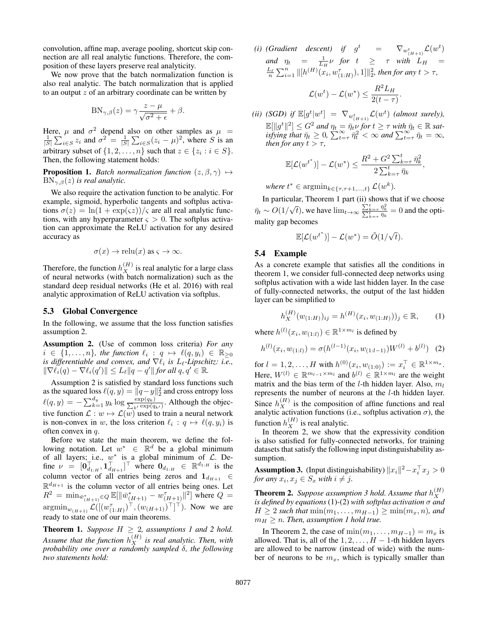convolution, affine map, average pooling, shortcut skip connection are all real analytic functions. Therefore, the composition of these layers preserve real analyticity.

We now prove that the batch normalization function is also real analytic. The batch normalization that is applied to an output  $z$  of an arbitrary coordinate can be written by

$$
BN_{\gamma,\beta}(z) = \gamma \frac{z - \mu}{\sqrt{\sigma^2 + \epsilon}} + \beta.
$$

Here,  $\mu$  and  $\sigma^2$  depend also on other samples as  $\mu = \frac{1}{|S|} \sum_{i \in S} z_i$  and  $\sigma^2 = \frac{1}{|S|} \sum_{i \in S} (z_i - \mu)^2$ , where *S* is an arbitrary subset of  $\{1, 2, ..., n\}$  such that  $z \in \{z_i : i \in S\}$ . Then, the following statement holds:

**Proposition 1.** *Batch normalization function*  $(z, \beta, \gamma) \mapsto$  $BN_{\gamma,\beta}(z)$  *is real analytic.* 

We also require the activation function to be analytic. For example, sigmoid, hyperbolic tangents and softplus activations  $\sigma(z) = \ln(1 + \exp(\varsigma z))/\varsigma$  are all real analytic functions, with any hyperparameter  $\zeta > 0$ . The softplus activation can approximate the ReLU activation for any desired accuracy as

$$
\sigma(x) \to \text{relu}(x)
$$
 as  $\varsigma \to \infty$ .

Therefore, the function  $h_X^{(H)}$  is real analytic for a large class of neural networks (with batch normalization) such as the standard deep residual networks (He et al. 2016) with real analytic approximation of ReLU activation via softplus.

### 5.3 Global Convergence

In the following, we assume that the loss function satisfies assumption 2.

Assumption 2. (Use of common loss criteria) *For any*  $i \in \{1, \ldots, n\}$ , the function  $\ell_i : q \mapsto \ell(q, y_i) \in \mathbb{R}_{\geq 0}$ *is differentiable and convex, and*  $\nabla \ell_i$  *is L*<sub> $\ell$ </sub>-Lipschitz: *i.e.*,  $\|\nabla \tilde{\ell}_i(q) - \nabla \ell_i(q')\| \leq L_\ell \|q - q'\|$  for all  $q, q' \in \mathbb{R}$ .

Assumption 2 is satisfied by standard loss functions such as the squared loss  $\ell(q,y) = \|q-y\|_2^2$  and cross entropy loss  $\ell(q, y) = -\sum_{k=1}^{d_y} y_k \log \frac{\exp(q_k)}{\sum_{k'} \exp(q_k)}$  $\frac{\exp(q_k)}{k\exp(q_{k'})}$ . Although the objective function  $\mathcal{L}: w \mapsto \mathcal{L}(w)$  used to train a neural network is non-convex in w, the loss criterion  $\ell_i : q \mapsto \ell(q, y_i)$  is often convex in  $q$ .

Before we state the main theorem, we define the following notation. Let  $w^* \in \mathbb{R}^d$  be a global minimum of all layers; i.e.,  $w^*$  is a global minimum of  $\mathcal{L}$ . Define  $\nu = [\mathbf{0}_{d_{1:H}}^{\top}, \mathbf{1}_{d_{H+1}}^{\top}]^{\top}$  where  $\mathbf{0}_{d_{1:H}} \in \mathbb{R}^{d_{1:H}}$  is the column vector of all entries being zeros and  $\mathbf{1}_{d_{H+1}} \in$  $\mathbb{R}^{d_{H+1}}$  is the column vector of all entries being ones. Let  $R^2 = \min_{\bar{w}_{(H+1)}^* \in Q} \mathbb{E}[\|\bar{w}_{(H+1)}^* - w_{(H+1)}^{\tau}\|^2]$  where  $Q =$  $\operatorname{argmin}_{w_{(H+1)}} \mathcal{L}([ (w_{(1:H)}^{\tau})^{\top}, (w_{(H+1)})^{\top} ]^{\top}).$  Now we are ready to state one of our main theorems.

**Theorem 1.** *Suppose*  $H \geq 2$ *, assumptions 1 and 2 hold.* Assume that the function  $h_X^{(H)}$  is real analytic. Then, with *probability one over a randomly sampled* δ*, the following two statements hold:*

(*i*) (Gradient descent) if  $g^t$  =  $\nabla_{w_{(H+1)}^t} \mathcal{L}(w^t)$ *and*  $\eta_t = \frac{1}{L_H} \nu$  *for*  $t \geq \tau$  *with*  $L_H =$  $\frac{L_{\ell}}{n} \sum_{i=1}^{n} \|[h^{(H)}(\mathbf{x}_{i}, \mathbf{w}^{\tau}_{(1:H)}), 1]\|_{2}^{2}$ , then for any  $t > \tau$ ,

$$
\mathcal{L}(w^t) - \mathcal{L}(w^*) \le \frac{R^2 L_H}{2(t - \tau)}.
$$

(*ii*) (*SGD*) if  $\mathbb{E}[g^t|w^t] = \nabla_{w^t_{(H+1)}} \mathcal{L}(w^t)$  (*almost surely*),  $\mathbb{E}[\Vert g^t \Vert^2] \leq G^2$  and  $\eta_t = \overline{\eta_t} \nu$  for  $t \geq \tau$  with  $\overline{\eta_t} \in \mathbb{R}$  sat- $\frac{d}{dt} \int_{\tau}^{\tau} d\tau \, d\tau = 0, \sum_{t=\tau}^{\infty} \frac{n^2}{\eta_t^2} < \infty$  and  $\sum_{t=\tau}^{\infty} \frac{n}{\eta_t} = \infty$ , *then for any*  $t > \tau$ *,* 

$$
\mathbb{E}[\mathcal{L}(w^{t^*})] - \mathcal{L}(w^*) \leq \frac{R^2 + G^2 \sum_{k=\tau}^t \bar{\eta}_k^2}{2 \sum_{k=\tau}^t \bar{\eta}_k},
$$

where  $t^* \in \text{argmin}_{k \in \{\tau, \tau + 1, ..., t\}} \mathcal{L}(w^k)$ .

In particular, Theorem 1 part (ii) shows that if we choose  $\bar{\eta}_t \sim O(1/$ √  $\overline{t}$ ), we have  $\lim_{t\to\infty} \frac{\sum_{k=\tau}^t \overline{\eta}_k^2}{\sum_{k=\tau}^t \overline{\eta}_k} = 0$  and the optimality gap becomes

$$
\mathbb{E}[\mathcal{L}(w^{t^*})] - \mathcal{L}(w^*) = \tilde{O}(1/\sqrt{t}).
$$

### 5.4 Example

As a concrete example that satisfies all the conditions in theorem 1, we consider full-connected deep networks using softplus activation with a wide last hidden layer. In the case of fully-connected networks, the output of the last hidden layer can be simplified to

$$
h_X^{(H)}(w_{(1:H)})_{ij} = h^{(H)}(x_i, w_{(1:H)}))_j \in \mathbb{R}, \qquad (1)
$$

where  $h^{(l)}(x_i, w_{(1:l)}) \in \mathbb{R}^{1 \times m_l}$  is defined by

$$
h^{(l)}(x_i, w_{(1:l)}) = \sigma(h^{(l-1)}(x_i, w_{(1:l-1)})W^{(l)} + b^{(l)}) \quad (2)
$$

for  $l = 1, 2, ..., H$  with  $h^{(0)}(x_i, w_{(1:0)}) := x_i^{\top} \in \mathbb{R}^{1 \times m_x}$ . Here,  $W^{(l)} \in \mathbb{R}^{m_{l-1} \times m_l}$  and  $b^{(l)} \in \mathbb{R}^{1 \times m_l}$  are the weight matrix and the bias term of the *l*-th hidden layer. Also,  $m_l$ represents the number of neurons at the l-th hidden layer. Since  $h_X^{(H)}$  is the composition of affine functions and real analytic activation functions (i.e., softplus activation  $\sigma$ ), the function  $h_X^{(H)}$  is real analytic.

In theorem 2, we show that the expressivity condition is also satisfied for fully-connected networks, for training datasets that satisfy the following input distinguishability assumption.

**Assumption 3.** (Input distinguishability)  $||x_i||^2 - x_i^\top x_j > 0$ *for any*  $x_i, x_j \in S_x$  *with*  $i \neq j$ *.* 

**Theorem 2.** Suppose assumption 3 hold. Assume that  $h_X^{(H)}$ X *is defined by equations* (1)*-*(2) *with softplus activation* σ *and*  $H \geq 2$  *such that*  $\min(m_1, \ldots, m_{H-1}) \geq \min(m_x, n)$ *, and*  $m_H \ge n$ . Then, assumption 1 hold true.

In Theorem 2, the case of min $(m_1, \ldots, m_{H-1}) = m_x$  is allowed. That is, all of the  $1, 2, \ldots, H - 1$ -th hidden layers are allowed to be narrow (instead of wide) with the number of neurons to be  $m_x$ , which is typically smaller than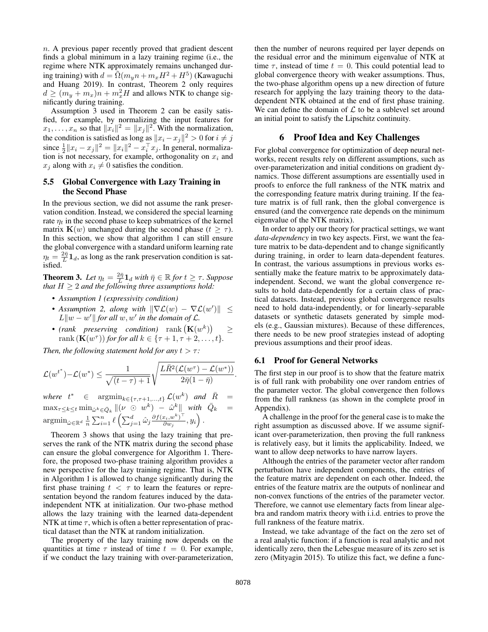$n.$  A previous paper recently proved that gradient descent finds a global minimum in a lazy training regime (i.e., the regime where NTK approximately remains unchanged during training) with  $d = \tilde{\Omega}(m_y n + m_x H^2 + H^5)$  (Kawaguchi and Huang 2019). In contrast, Theorem 2 only requires  $d \geq (m_y + m_x)n + m_x^2H$  and allows NTK to change significantly during training.

Assumption 3 used in Theorem 2 can be easily satisfied, for example, by normalizing the input features for  $x_1, \ldots, x_n$  so that  $||x_i||^2 = ||x_j||^2$ . With the normalization, the condition is satisfied as long as  $||x_i - x_j||^2 > 0$  for  $i \neq j$ since  $\frac{1}{2}||x_i - x_j||^2 = ||x_i||^2 - x_i^{\top}x_j$ . In general, normalization is not necessary, for example, orthogonality on  $x_i$  and  $x_i$  along with  $x_i \neq 0$  satisfies the condition.

# 5.5 Global Convergence with Lazy Training in the Second Phase

In the previous section, we did not assume the rank preservation condition. Instead, we considered the special learning rate  $\eta_t$  in the second phase to keep submatrices of the kernel matrix  $\mathbf{K}(w)$  unchanged during the second phase  $(t \geq \tau)$ . In this section, we show that algorithm 1 can still ensure the global convergence with a standard uniform learning rate  $\eta_t = \frac{2\bar{\eta}}{L} \mathbf{1}_d$ , as long as the rank preservation condition is satisfied.

**Theorem 3.** Let  $\eta_t = \frac{2\bar{\eta}}{L} \mathbf{1}_d$  with  $\bar{\eta} \in \mathbb{R}$  for  $t \geq \tau$ . Suppose *that*  $H \geq 2$  *and the following three assumptions hold:* 

- *Assumption 1 (expressivity condition)*
- Assumption 2, along with  $\|\nabla \mathcal{L}(w) \nabla \mathcal{L}(w')\| \le$  $L\|w - w'\|$  for all  $w, w'$  in the domain of  $\mathcal{L}$ .
- (rank preserving condition)  $rank (\mathbf{K}(w^k))$ ≥ rank  $(\mathbf{K}(w^{\tau}))$  *for for all*  $k \in {\tau+1, \tau+2, ..., t}$ *.*

*Then, the following statement hold for any*  $t > \tau$ *:* 

$$
\mathcal{L}(w^{t^*}) - \mathcal{L}(w^*) \leq \frac{1}{\sqrt{(t-\tau)+1}} \sqrt{\frac{L\bar{R}^2(\mathcal{L}(w^{\tau}) - \mathcal{L}(w^*))}{2\bar{\eta}(1-\bar{\eta})}}.
$$

where  $t^* \in \operatorname{argmin}_{k \in \{\tau, \tau + 1, ..., t\}} \mathcal{L}(w^k)$  and  $\overline{R} =$  $\max_{\tau \leq k \leq t} \min_{\hat{\omega}^k \in \bar{Q}_k} ||(\nu \ \odot \ w^k) - \hat{\omega}^k|| \ \ with \ \ \bar{Q}_k =$  $\operatorname{argmin}_{\hat{\omega}\in\mathbb{R}^d} \frac{1}{n} \sum_{i=1}^n \ell \left( \sum_{j=1}^d \hat{\omega}_j \frac{\partial f(x_i,w^k)^\top}{\partial w_j} \right)$  $\frac{x_i, w^k)^\top}{\partial w_j}, y_i\Big).$ 

Theorem 3 shows that using the lazy training that preserves the rank of the NTK matrix during the second phase can ensure the global convergence for Algorithm 1. Therefore, the proposed two-phase training algorithm provides a new perspective for the lazy training regime. That is, NTK in Algorithm 1 is allowed to change significantly during the first phase training  $t < \tau$  to learn the features or representation beyond the random features induced by the dataindependent NTK at initialization. Our two-phase method allows the lazy training with the learned data-dependent NTK at time  $\tau$ , which is often a better representation of practical dataset than the NTK at random initialization.

The property of the lazy training now depends on the quantities at time  $\tau$  instead of time  $t = 0$ . For example, if we conduct the lazy training with over-parameterization, then the number of neurons required per layer depends on the residual error and the minimum eigenvalue of NTK at time  $\tau$ , instead of time  $t = 0$ . This could potential lead to global convergence theory with weaker assumptions. Thus, the two-phase algorithm opens up a new direction of future research for applying the lazy training theory to the datadependent NTK obtained at the end of first phase training. We can define the domain of  $\mathcal L$  to be a sublevel set around an initial point to satisfy the Lipschitz continuity.

# 6 Proof Idea and Key Challenges

For global convergence for optimization of deep neural networks, recent results rely on different assumptions, such as over-parameterization and initial conditions on gradient dynamics. Those different assumptions are essentially used in proofs to enforce the full rankness of the NTK matrix and the corresponding feature matrix during training. If the feature matrix is of full rank, then the global convergence is ensured (and the convergence rate depends on the minimum eigenvalue of the NTK matrix).

In order to apply our theory for practical settings, we want *data-dependency* in two key aspects. First, we want the feature matrix to be data-dependent and to change significantly during training, in order to learn data-dependent features. In contrast, the various assumptions in previous works essentially make the feature matrix to be approximately dataindependent. Second, we want the global convergence results to hold data-dependently for a certain class of practical datasets. Instead, previous global convergence results need to hold data-independently, or for linearly-separable datasets or synthetic datasets generated by simple models (e.g., Gaussian mixtures). Because of these differences, there needs to be new proof strategies instead of adopting previous assumptions and their proof ideas.

# 6.1 Proof for General Networks

The first step in our proof is to show that the feature matrix is of full rank with probability one over random entries of the parameter vector. The global convergence then follows from the full rankness (as shown in the complete proof in Appendix).

A challenge in the proof for the general case is to make the right assumption as discussed above. If we assume significant over-parameterization, then proving the full rankness is relatively easy, but it limits the applicability. Indeed, we want to allow deep networks to have narrow layers.

Although the entries of the parameter vector after random perturbation have independent components, the entries of the feature matrix are dependent on each other. Indeed, the entries of the feature matrix are the outputs of nonlinear and non-convex functions of the entries of the parameter vector. Therefore, we cannot use elementary facts from linear algebra and random matrix theory with i.i.d. entries to prove the full rankness of the feature matrix.

Instead, we take advantage of the fact on the zero set of a real analytic function: if a function is real analytic and not identically zero, then the Lebesgue measure of its zero set is zero (Mityagin 2015). To utilize this fact, we define a func-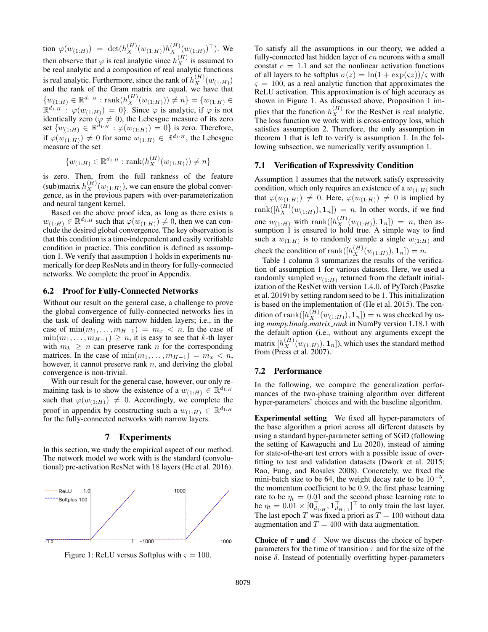tion  $\varphi(w_{(1:H)}) = \det(h_X^{(H)}(w_{(1:H)})h_X^{(H)}(w_{(1:H)})^\top)$ . We then observe that  $\varphi$  is real analytic since  $h_X^{(H)}$  is assumed to be real analytic and a composition of real analytic functions is real analytic. Furthermore, since the rank of  $h_X^{(H)}(w_{(1:H)})$ and the rank of the Gram matrix are equal, we have that  $\{w_{(1:H)} \in \mathbb{R}^{d_{1:H}} : \text{rank}(h_X^{(H)}(w_{(1:H)})) \neq n\} = \{w_{(1:H)} \in$  $\mathbb{R}^{d_{1:H}}$ :  $\varphi(w_{(1:H)}) = 0$ . Since  $\varphi$  is analytic, if  $\varphi$  is not identically zero ( $\varphi \neq 0$ ), the Lebesgue measure of its zero set  $\{w_{(1:H)} \in \mathbb{R}^{d_{1:H}} : \varphi(w_{(1:H)}) = 0\}$  is zero. Therefore, if  $\varphi(w_{(1:H)}) \neq 0$  for some  $w_{(1:H)} \in \mathbb{R}^{d_{1:H}}$ , the Lebesgue measure of the set

$$
\{w_{(1:H)} \in \mathbb{R}^{d_{1:H}} : \text{rank}(h_X^{(H)}(w_{(1:H)})) \neq n\}
$$

is zero. Then, from the full rankness of the feature (sub)matrix  $h_X^{(H)}(w_{(1:H)})$ , we can ensure the global convergence, as in the previous papers with over-parameterization and neural tangent kernel.

Based on the above proof idea, as long as there exists a  $w_{(1:H)} \in \mathbb{R}^{d_{1:H}}$  such that  $\varphi(w_{(1:H)}) \neq 0$ , then we can conclude the desired global convergence. The key observation is that this condition is a time-independent and easily verifiable condition in practice. This condition is defined as assumption 1. We verify that assumption 1 holds in experiments numerically for deep ResNets and in theory for fully-connected networks. We complete the proof in Appendix.

### 6.2 Proof for Fully-Connected Networks

Without our result on the general case, a challenge to prove the global convergence of fully-connected networks lies in the task of dealing with narrow hidden layers; i.e., in the case of  $\min(m_1, \ldots, m_{H-1}) = m_x < n$ . In the case of  $\min(m_1, \ldots, m_{H-1}) \geq n$ , it is easy to see that k-th layer with  $m_k \geq n$  can preserve rank n for the corresponding matrices. In the case of  $\min(m_1, \ldots, m_{H-1}) = m_x < n$ , however, it cannot preserve rank  $n$ , and deriving the global convergence is non-trivial.

With our result for the general case, however, our only remaining task is to show the existence of a  $w_{(1:H)} \in \mathbb{R}^{d_{1:H}}$ such that  $\varphi(w_{(1:H)}) \neq 0$ . Accordingly, we complete the proof in appendix by constructing such a  $w_{(1:H)} \in \mathbb{R}^{d_{1:H}}$ for the fully-connected networks with narrow layers.

### 7 Experiments

In this section, we study the empirical aspect of our method. The network model we work with is the standard (convolutional) pre-activation ResNet with 18 layers (He et al. 2016).



Figure 1: ReLU versus Softplus with  $\varsigma = 100$ .

To satisfy all the assumptions in our theory, we added a fully-connected last hidden layer of  $cn$  neurons with a small constat  $c = 1.1$  and set the nonlinear activation functions of all layers to be softplus  $\sigma(z) = \ln(1 + \exp(\varsigma z))/\varsigma$  with  $\varsigma = 100$ , as a real analytic function that approximates the ReLU activation. This approximation is of high accuracy as shown in Figure 1. As discussed above, Proposition 1 implies that the function  $h_X^{(H)}$  for the ResNet is real analytic. The loss function we work with is cross-entropy loss, which satisfies assumption 2. Therefore, the only assumption in theorem 1 that is left to verify is assumption 1. In the following subsection, we numerically verify assumption 1.

#### 7.1 Verification of Expressivity Condition

Assumption 1 assumes that the network satisfy expressivity condition, which only requires an existence of a  $w_{(1:H)}$  such that  $\varphi(w_{(1:H)}) \neq 0$ . Here,  $\varphi(w_{(1:H)}) \neq 0$  is implied by  $rank([h_X^{(H)}(w_{(1:H)}), 1_n]) = n$ . In other words, if we find one  $w_{(1:H)}$  with rank $([h_X^{(H)}(w_{(1:H)}), \mathbf{1}_n]) = n$ , then assumption 1 is ensured to hold true. A simple way to find such a  $w_{(1:H)}$  is to randomly sample a single  $w_{(1:H)}$  and check the condition of  $\text{rank}([h_X^{(H)}(w_{(1:H)}), \mathbf{1}_n]) = n$ .

Table 1 column 3 summarizes the results of the verification of assumption 1 for various datasets. Here, we used a randomly sampled  $w_{(1:H)}$  returned from the default initialization of the ResNet with version 1.4.0. of PyTorch (Paszke et al. 2019) by setting random seed to be 1. This initialization is based on the implementation of (He et al. 2015). The condition of rank $([h_X^{(H)}(w_{(1:H)}), \mathbf{1}_n]) = n$  was checked by using *numpy.linalg.matrix rank* in NumPy version 1.18.1 with the default option (i.e., without any arguments except the matrix  $[h_X^{(H)}(w_{(1:H)}), \mathbf{1}_n]),$  which uses the standard method from (Press et al. 2007).

#### 7.2 Performance

In the following, we compare the generalization performances of the two-phase training algorithm over different hyper-parameters' choices and with the baseline algorithm.

Experimental setting We fixed all hyper-parameters of the base algorithm a priori across all different datasets by using a standard hyper-parameter setting of SGD (following the setting of Kawaguchi and Lu 2020), instead of aiming for state-of-the-art test errors with a possible issue of overfitting to test and validation datasets (Dwork et al. 2015; Rao, Fung, and Rosales 2008). Concretely, we fixed the mini-batch size to be 64, the weight decay rate to be  $10^{-5}$ , the momentum coefficient to be 0.9, the first phase learning rate to be  $\eta_t = 0.01$  and the second phase learning rate to be  $\eta_t = 0.01 \times [\mathbf{0}_{d_{1:H}}^\top, \mathbf{1}_{d_{H+1}}^\top]^\top$  to only train the last layer. The last epoch T was fixed a priori as  $T = 100$  without data augmentation and  $T = 400$  with data augmentation.

Choice of  $\tau$  and  $\delta$  Now we discuss the choice of hyperparameters for the time of transition  $\tau$  and for the size of the noise  $δ$ . Instead of potentially overfitting hyper-parameters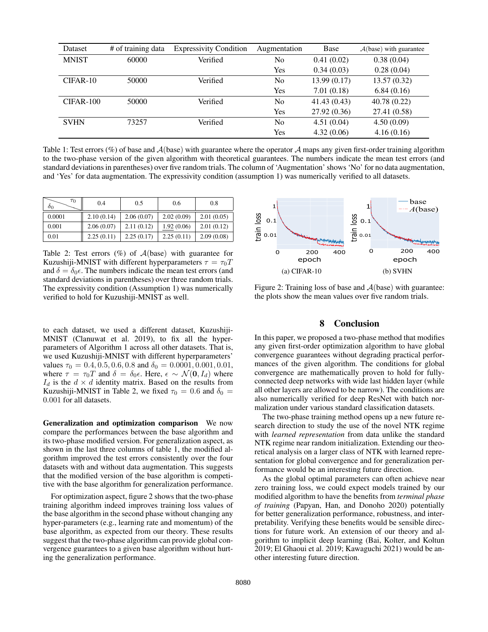| Dataset      | # of training data | <b>Expressivity Condition</b> | Augmentation   | Base         | $A(base)$ with guarantee |
|--------------|--------------------|-------------------------------|----------------|--------------|--------------------------|
| <b>MNIST</b> | 60000              | Verified                      | No             | 0.41(0.02)   | 0.38(0.04)               |
|              |                    |                               | Yes            | 0.34(0.03)   | 0.28(0.04)               |
| $CIFAR-10$   | 50000              | Verified                      | No.            | 13.99(0.17)  | 13.57(0.32)              |
|              |                    |                               | Yes            | 7.01(0.18)   | 6.84(0.16)               |
| $CIFAR-100$  | 50000              | Verified                      | No             | 41.43(0.43)  | 40.78(0.22)              |
|              |                    |                               | Yes            | 27.92 (0.36) | 27.41 (0.58)             |
| <b>SVHN</b>  | 73257              | Verified                      | N <sub>0</sub> | 4.51(0.04)   | 4.50(0.09)               |
|              |                    |                               | Yes            | 4.32(0.06)   | 4.16(0.16)               |

Table 1: Test errors (%) of base and  $A$ (base) with guarantee where the operator  $A$  maps any given first-order training algorithm to the two-phase version of the given algorithm with theoretical guarantees. The numbers indicate the mean test errors (and standard deviations in parentheses) over five random trials. The column of 'Augmentation' shows 'No' for no data augmentation, and 'Yes' for data augmentation. The expressivity condition (assumption 1) was numerically verified to all datasets.

| $\tau_0$<br>ΟO | 0.4        | 0.5        | 0.6        | 0.8        |
|----------------|------------|------------|------------|------------|
| 0.0001         | 2.10(0.14) | 2.06(0.07) | 2.02(0.09) | 2.01(0.05) |
| 0.001          | 2.06(0.07) | 2.11(0.12) | 1.92(0.06) | 2.01(0.12) |
| 0.01           | 2.25(0.11) | 2.25(0.17) | 2.25(0.11) | 2.09(0.08) |

Table 2: Test errors  $(\%)$  of  $\mathcal{A}(\text{base})$  with guarantee for Kuzushiji-MNIST with different hyperparameters  $\tau = \tau_0 T$ and  $\delta = \delta_0 \epsilon$ . The numbers indicate the mean test errors (and standard deviations in parentheses) over three random trials. The expressivity condition (Assumption 1) was numerically verified to hold for Kuzushiji-MNIST as well.

to each dataset, we used a different dataset, Kuzushiji-MNIST (Clanuwat et al. 2019), to fix all the hyperparameters of Algorithm 1 across all other datasets. That is, we used Kuzushiji-MNIST with different hyperparameters' values  $\tau_0 = 0.4, 0.5, 0.6, 0.8$  and  $\delta_0 = 0.0001, 0.001, 0.01$ , where  $\tau = \tau_0 T$  and  $\delta = \delta_0 \epsilon$ . Here,  $\epsilon \sim \mathcal{N}(\mathbf{0}, I_d)$  where  $I_d$  is the  $d \times d$  identity matrix. Based on the results from Kuzushiji-MNIST in Table 2, we fixed  $\tau_0 = 0.6$  and  $\delta_0 =$ 0.001 for all datasets.

Generalization and optimization comparison We now compare the performances between the base algorithm and its two-phase modified version. For generalization aspect, as shown in the last three columns of table 1, the modified algorithm improved the test errors consistently over the four datasets with and without data augmentation. This suggests that the modified version of the base algorithm is competitive with the base algorithm for generalization performance.

For optimization aspect, figure 2 shows that the two-phase training algorithm indeed improves training loss values of the base algorithm in the second phase without changing any hyper-parameters (e.g., learning rate and momentum) of the base algorithm, as expected from our theory. These results suggest that the two-phase algorithm can provide global convergence guarantees to a given base algorithm without hurting the generalization performance.



Figure 2: Training loss of base and  $A$ (base) with guarantee: the plots show the mean values over five random trials.

# 8 Conclusion

In this paper, we proposed a two-phase method that modifies any given first-order optimization algorithm to have global convergence guarantees without degrading practical performances of the given algorithm. The conditions for global convergence are mathematically proven to hold for fullyconnected deep networks with wide last hidden layer (while all other layers are allowed to be narrow). The conditions are also numerically verified for deep ResNet with batch normalization under various standard classification datasets.

The two-phase training method opens up a new future research direction to study the use of the novel NTK regime with *learned representation* from data unlike the standard NTK regime near random initialization. Extending our theoretical analysis on a larger class of NTK with learned representation for global convergence and for generalization performance would be an interesting future direction.

As the global optimal parameters can often achieve near zero training loss, we could expect models trained by our modified algorithm to have the benefits from *terminal phase of training* (Papyan, Han, and Donoho 2020) potentially for better generalization performance, robustness, and interpretability. Verifying these benefits would be sensible directions for future work. An extension of our theory and algorithm to implicit deep learning (Bai, Kolter, and Koltun 2019; El Ghaoui et al. 2019; Kawaguchi 2021) would be another interesting future direction.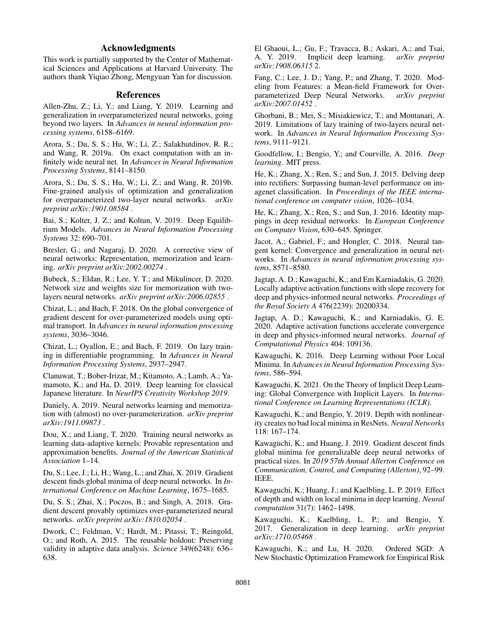# Acknowledgments

This work is partially supported by the Center of Mathematical Sciences and Applications at Harvard University. The authors thank Yiqiao Zhong, Mengyuan Yan for discussion.

#### References

Allen-Zhu, Z.; Li, Y.; and Liang, Y. 2019. Learning and generalization in overparameterized neural networks, going beyond two layers. In *Advances in neural information processing systems*, 6158–6169.

Arora, S.; Du, S. S.; Hu, W.; Li, Z.; Salakhutdinov, R. R.; and Wang, R. 2019a. On exact computation with an infinitely wide neural net. In *Advances in Neural Information Processing Systems*, 8141–8150.

Arora, S.; Du, S. S.; Hu, W.; Li, Z.; and Wang, R. 2019b. Fine-grained analysis of optimization and generalization for overparameterized two-layer neural networks. *arXiv preprint arXiv:1901.08584* .

Bai, S.; Kolter, J. Z.; and Koltun, V. 2019. Deep Equilibrium Models. *Advances in Neural Information Processing Systems* 32: 690–701.

Bresler, G.; and Nagaraj, D. 2020. A corrective view of neural networks: Representation, memorization and learning. *arXiv preprint arXiv:2002.00274* .

Bubeck, S.; Eldan, R.; Lee, Y. T.; and Mikulincer, D. 2020. Network size and weights size for memorization with twolayers neural networks. *arXiv preprint arXiv:2006.02855* .

Chizat, L.; and Bach, F. 2018. On the global convergence of gradient descent for over-parameterized models using optimal transport. In *Advances in neural information processing systems*, 3036–3046.

Chizat, L.; Oyallon, E.; and Bach, F. 2019. On lazy training in differentiable programming. In *Advances in Neural Information Processing Systems*, 2937–2947.

Clanuwat, T.; Bober-Irizar, M.; Kitamoto, A.; Lamb, A.; Yamamoto, K.; and Ha, D. 2019. Deep learning for classical Japanese literature. In *NeurIPS Creativity Workshop 2019*.

Daniely, A. 2019. Neural networks learning and memorization with (almost) no over-parameterization. *arXiv preprint arXiv:1911.09873* .

Dou, X.; and Liang, T. 2020. Training neural networks as learning data-adaptive kernels: Provable representation and approximation benefits. *Journal of the American Statistical Association* 1–14.

Du, S.; Lee, J.; Li, H.; Wang, L.; and Zhai, X. 2019. Gradient descent finds global minima of deep neural networks. In *International Conference on Machine Learning*, 1675–1685.

Du, S. S.; Zhai, X.; Poczos, B.; and Singh, A. 2018. Gradient descent provably optimizes over-parameterized neural networks. *arXiv preprint arXiv:1810.02054* .

Dwork, C.; Feldman, V.; Hardt, M.; Pitassi, T.; Reingold, O.; and Roth, A. 2015. The reusable holdout: Preserving validity in adaptive data analysis. *Science* 349(6248): 636– 638.

El Ghaoui, L.; Gu, F.; Travacca, B.; Askari, A.; and Tsai, A. Y. 2019. Implicit deep learning. *arXiv preprint arXiv:1908.06315* 2.

Fang, C.; Lee, J. D.; Yang, P.; and Zhang, T. 2020. Modeling from Features: a Mean-field Framework for Over-<br>parameterized Deep Neural Networks. arXiv preprint parameterized Deep Neural Networks. *arXiv:2007.01452* .

Ghorbani, B.; Mei, S.; Misiakiewicz, T.; and Montanari, A. 2019. Limitations of lazy training of two-layers neural network. In *Advances in Neural Information Processing Systems*, 9111–9121.

Goodfellow, I.; Bengio, Y.; and Courville, A. 2016. *Deep learning*. MIT press.

He, K.; Zhang, X.; Ren, S.; and Sun, J. 2015. Delving deep into rectifiers: Surpassing human-level performance on imagenet classification. In *Proceedings of the IEEE international conference on computer vision*, 1026–1034.

He, K.; Zhang, X.; Ren, S.; and Sun, J. 2016. Identity mappings in deep residual networks. In *European Conference on Computer Vision*, 630–645. Springer.

Jacot, A.; Gabriel, F.; and Hongler, C. 2018. Neural tangent kernel: Convergence and generalization in neural networks. In *Advances in neural information processing systems*, 8571–8580.

Jagtap, A. D.; Kawaguchi, K.; and Em Karniadakis, G. 2020. Locally adaptive activation functions with slope recovery for deep and physics-informed neural networks. *Proceedings of the Royal Society A* 476(2239): 20200334.

Jagtap, A. D.; Kawaguchi, K.; and Karniadakis, G. E. 2020. Adaptive activation functions accelerate convergence in deep and physics-informed neural networks. *Journal of Computational Physics* 404: 109136.

Kawaguchi, K. 2016. Deep Learning without Poor Local Minima. In *Advances in Neural Information Processing Systems*, 586–594.

Kawaguchi, K. 2021. On the Theory of Implicit Deep Learning: Global Convergence with Implicit Layers. In *International Conference on Learning Representations (ICLR)*.

Kawaguchi, K.; and Bengio, Y. 2019. Depth with nonlinearity creates no bad local minima in ResNets. *Neural Networks* 118: 167–174.

Kawaguchi, K.; and Huang, J. 2019. Gradient descent finds global minima for generalizable deep neural networks of practical sizes. In *2019 57th Annual Allerton Conference on Communication, Control, and Computing (Allerton)*, 92–99. IEEE.

Kawaguchi, K.; Huang, J.; and Kaelbling, L. P. 2019. Effect of depth and width on local minima in deep learning. *Neural computation* 31(7): 1462–1498.

Kawaguchi, K.; Kaelbling, L. P.; and Bengio, Y. 2017. Generalization in deep learning. *arXiv preprint arXiv:1710.05468* .

Kawaguchi, K.; and Lu, H. 2020. Ordered SGD: A New Stochastic Optimization Framework for Empirical Risk